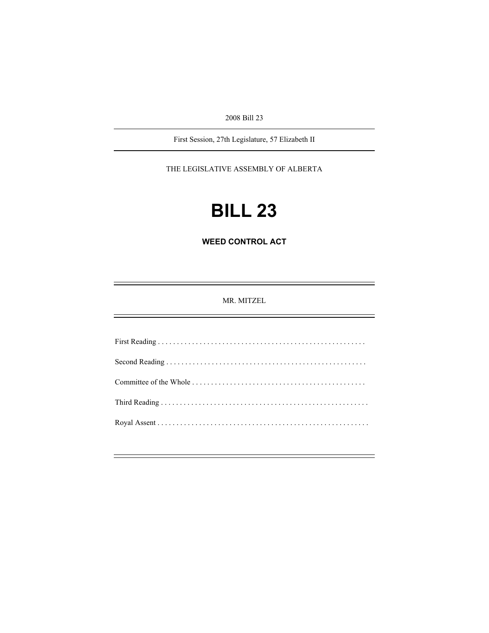2008 Bill 23

First Session, 27th Legislature, 57 Elizabeth II

THE LEGISLATIVE ASSEMBLY OF ALBERTA

# **BILL 23**

**WEED CONTROL ACT** 

MR. MITZEL

First Reading . . . . . . . . . . . . . . . . . . . . . . . . . . . . . . . . . . . . . . . . . . . . . . . . . . . . . . . Second Reading . . . . . . . . . . . . . . . . . . . . . . . . . . . . . . . . . . . . . . . . . . . . . . . . . . . . . Committee of the Whole . . . . . . . . . . . . . . . . . . . . . . . . . . . . . . . . . . . . . . . . . . . . . . Third Reading . . . . . . . . . . . . . . . . . . . . . . . . . . . . . . . . . . . . . . . . . . . . . . . . . . . . . . . Royal Assent . . . . . . . . . . . . . . . . . . . . . . . . . . . . . . . . . . . . . . . . . . . . . . . . . . . . . . . .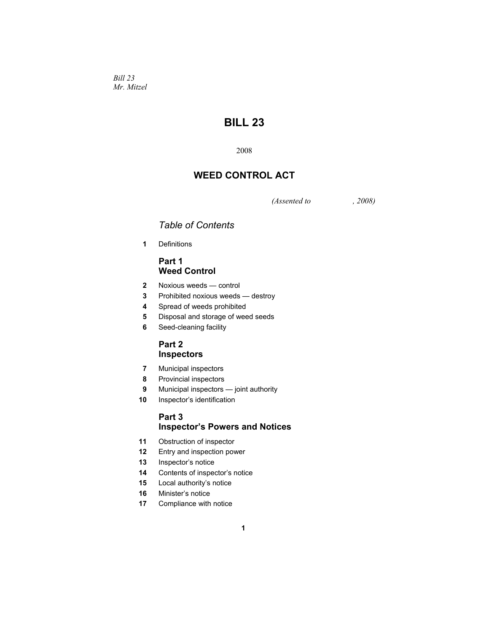*Bill 23 Mr. Mitzel* 

# **BILL 23**

# **WEED CONTROL ACT**

*(Assented to , 2008)* 

# *Table of Contents*

Definitions

# **Part 1 Weed Control**

- Noxious weeds control
- Prohibited noxious weeds destroy
- Spread of weeds prohibited
- Disposal and storage of weed seeds
- Seed-cleaning facility

### **Part 2 Inspectors**

- Municipal inspectors
- Provincial inspectors
- Municipal inspectors joint authority
- Inspector's identification

# **Part 3 Inspector's Powers and Notices**

- Obstruction of inspector
- Entry and inspection power
- Inspector's notice
- Contents of inspector's notice
- Local authority's notice
- Minister's notice
- Compliance with notice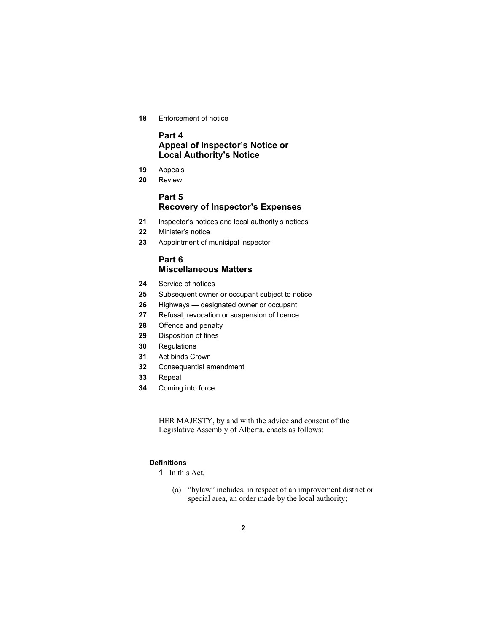Enforcement of notice

# **Part 4 Appeal of Inspector's Notice or Local Authority's Notice**

- Appeals
- Review

# **Part 5 Recovery of Inspector's Expenses**

- Inspector's notices and local authority's notices
- Minister's notice
- Appointment of municipal inspector

# **Part 6 Miscellaneous Matters**

- Service of notices
- Subsequent owner or occupant subject to notice
- Highways designated owner or occupant
- Refusal, revocation or suspension of licence
- Offence and penalty
- Disposition of fines
- Regulations
- Act binds Crown
- Consequential amendment
- Repeal
- Coming into force

HER MAJESTY, by and with the advice and consent of the Legislative Assembly of Alberta, enacts as follows:

#### **Definitions**

- In this Act,
	- (a) "bylaw" includes, in respect of an improvement district or special area, an order made by the local authority;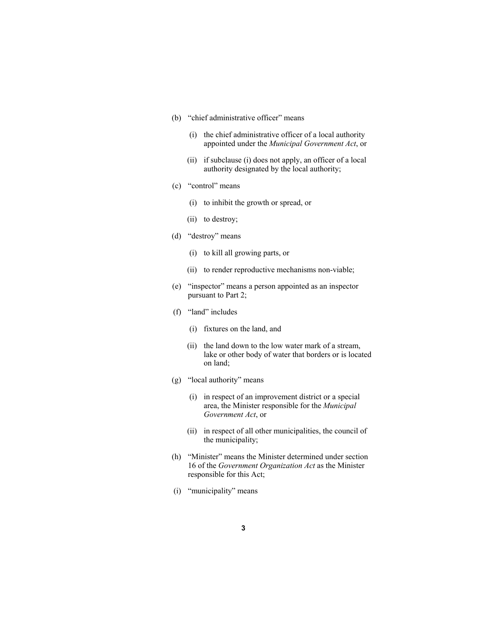- (b) "chief administrative officer" means
	- (i) the chief administrative officer of a local authority appointed under the *Municipal Government Act*, or
	- (ii) if subclause (i) does not apply, an officer of a local authority designated by the local authority;
- (c) "control" means
	- (i) to inhibit the growth or spread, or
	- (ii) to destroy;
- (d) "destroy" means
	- (i) to kill all growing parts, or
	- (ii) to render reproductive mechanisms non-viable;
- (e) "inspector" means a person appointed as an inspector pursuant to Part 2;
- (f) "land" includes
	- (i) fixtures on the land, and
	- (ii) the land down to the low water mark of a stream, lake or other body of water that borders or is located on land;
- (g) "local authority" means
	- (i) in respect of an improvement district or a special area, the Minister responsible for the *Municipal Government Act*, or
	- (ii) in respect of all other municipalities, the council of the municipality;
- (h) "Minister" means the Minister determined under section 16 of the *Government Organization Act* as the Minister responsible for this Act;
- (i) "municipality" means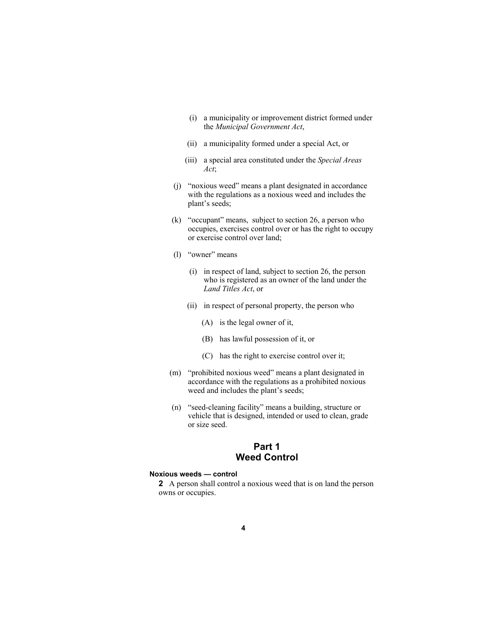- (i) a municipality or improvement district formed under the *Municipal Government Act*,
- (ii) a municipality formed under a special Act, or
- (iii) a special area constituted under the *Special Areas Act*;
- (j) "noxious weed" means a plant designated in accordance with the regulations as a noxious weed and includes the plant's seeds;
- (k) "occupant" means, subject to section 26, a person who occupies, exercises control over or has the right to occupy or exercise control over land;
- (l) "owner" means
	- (i) in respect of land, subject to section 26, the person who is registered as an owner of the land under the *Land Titles Act*, or
	- (ii) in respect of personal property, the person who
		- (A) is the legal owner of it,
		- (B) has lawful possession of it, or
		- (C) has the right to exercise control over it;
- (m) "prohibited noxious weed" means a plant designated in accordance with the regulations as a prohibited noxious weed and includes the plant's seeds;
- (n) "seed-cleaning facility" means a building, structure or vehicle that is designed, intended or used to clean, grade or size seed.

# **Part 1 Weed Control**

#### **Noxious weeds — control**

**2** A person shall control a noxious weed that is on land the person owns or occupies.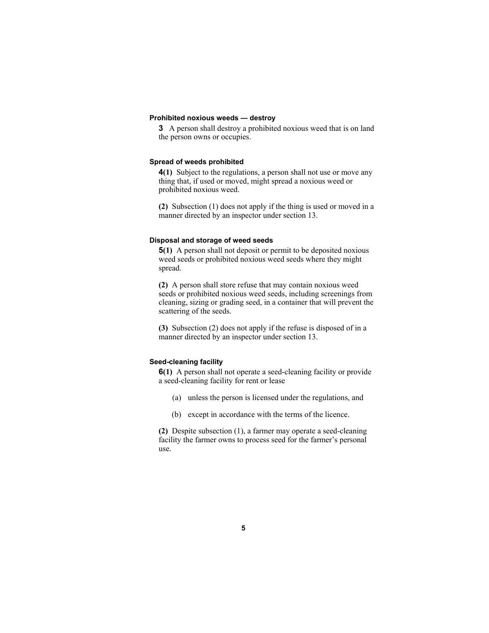#### **Prohibited noxious weeds — destroy**

**3** A person shall destroy a prohibited noxious weed that is on land the person owns or occupies.

#### **Spread of weeds prohibited**

**4(1)** Subject to the regulations, a person shall not use or move any thing that, if used or moved, might spread a noxious weed or prohibited noxious weed.

**(2)** Subsection (1) does not apply if the thing is used or moved in a manner directed by an inspector under section 13.

#### **Disposal and storage of weed seeds**

**5(1)** A person shall not deposit or permit to be deposited noxious weed seeds or prohibited noxious weed seeds where they might spread.

**(2)** A person shall store refuse that may contain noxious weed seeds or prohibited noxious weed seeds, including screenings from cleaning, sizing or grading seed, in a container that will prevent the scattering of the seeds.

**(3)** Subsection (2) does not apply if the refuse is disposed of in a manner directed by an inspector under section 13.

#### **Seed-cleaning facility**

**6(1)** A person shall not operate a seed-cleaning facility or provide a seed-cleaning facility for rent or lease

- (a) unless the person is licensed under the regulations, and
- (b) except in accordance with the terms of the licence.

**(2)** Despite subsection (1), a farmer may operate a seed-cleaning facility the farmer owns to process seed for the farmer's personal use.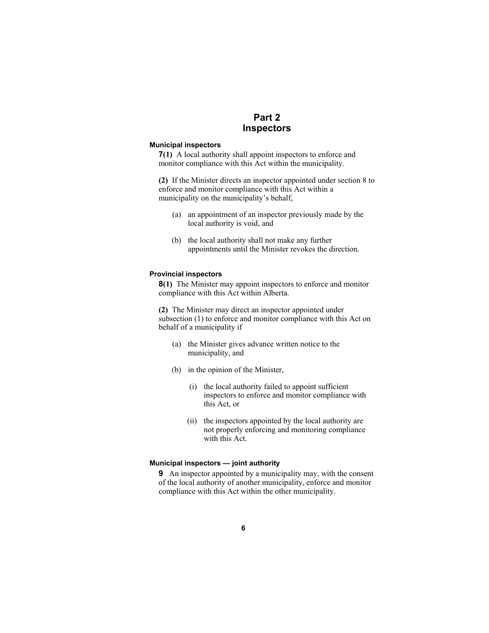# **Part 2 Inspectors**

#### **Municipal inspectors**

**7(1)** A local authority shall appoint inspectors to enforce and monitor compliance with this Act within the municipality.

**(2)** If the Minister directs an inspector appointed under section 8 to enforce and monitor compliance with this Act within a municipality on the municipality's behalf,

- (a) an appointment of an inspector previously made by the local authority is void, and
- (b) the local authority shall not make any further appointments until the Minister revokes the direction.

#### **Provincial inspectors**

**8(1)** The Minister may appoint inspectors to enforce and monitor compliance with this Act within Alberta.

**(2)** The Minister may direct an inspector appointed under subsection (1) to enforce and monitor compliance with this Act on behalf of a municipality if

- (a) the Minister gives advance written notice to the municipality, and
- (b) in the opinion of the Minister,
	- (i) the local authority failed to appoint sufficient inspectors to enforce and monitor compliance with this Act, or
	- (ii) the inspectors appointed by the local authority are not properly enforcing and monitoring compliance with this Act.

#### **Municipal inspectors — joint authority**

**9** An inspector appointed by a municipality may, with the consent of the local authority of another municipality, enforce and monitor compliance with this Act within the other municipality.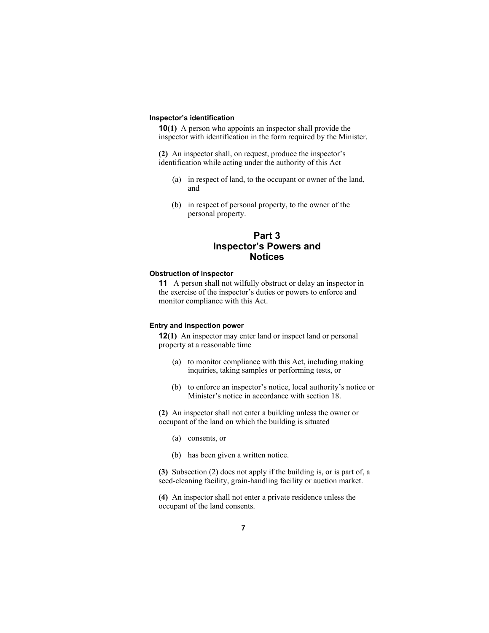#### **Inspector's identification**

**10(1)** A person who appoints an inspector shall provide the inspector with identification in the form required by the Minister.

**(2)** An inspector shall, on request, produce the inspector's identification while acting under the authority of this Act

- (a) in respect of land, to the occupant or owner of the land, and
- (b) in respect of personal property, to the owner of the personal property.

# **Part 3 Inspector's Powers and Notices**

#### **Obstruction of inspector**

**11** A person shall not wilfully obstruct or delay an inspector in the exercise of the inspector's duties or powers to enforce and monitor compliance with this Act.

#### **Entry and inspection power**

**12(1)** An inspector may enter land or inspect land or personal property at a reasonable time

- (a) to monitor compliance with this Act, including making inquiries, taking samples or performing tests, or
- (b) to enforce an inspector's notice, local authority's notice or Minister's notice in accordance with section 18.

**(2)** An inspector shall not enter a building unless the owner or occupant of the land on which the building is situated

- (a) consents, or
- (b) has been given a written notice.

**(3)** Subsection (2) does not apply if the building is, or is part of, a seed-cleaning facility, grain-handling facility or auction market.

**(4)** An inspector shall not enter a private residence unless the occupant of the land consents.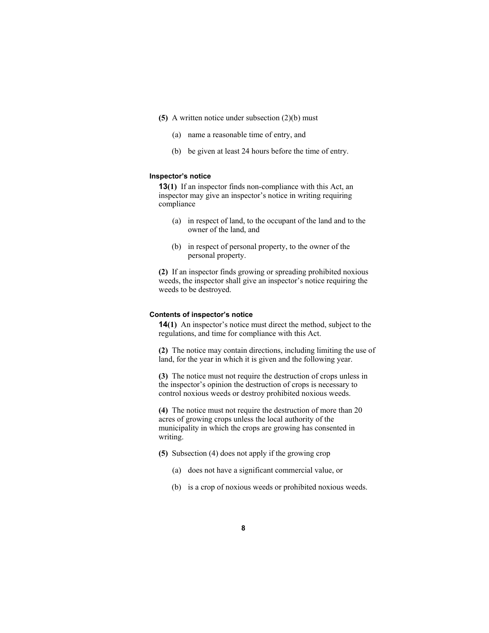- **(5)** A written notice under subsection (2)(b) must
	- (a) name a reasonable time of entry, and
	- (b) be given at least 24 hours before the time of entry.

#### **Inspector's notice**

**13(1)** If an inspector finds non-compliance with this Act, an inspector may give an inspector's notice in writing requiring compliance

- (a) in respect of land, to the occupant of the land and to the owner of the land, and
- (b) in respect of personal property, to the owner of the personal property.

**(2)** If an inspector finds growing or spreading prohibited noxious weeds, the inspector shall give an inspector's notice requiring the weeds to be destroyed.

#### **Contents of inspector's notice**

**14(1)** An inspector's notice must direct the method, subject to the regulations, and time for compliance with this Act.

**(2)** The notice may contain directions, including limiting the use of land, for the year in which it is given and the following year.

**(3)** The notice must not require the destruction of crops unless in the inspector's opinion the destruction of crops is necessary to control noxious weeds or destroy prohibited noxious weeds.

**(4)** The notice must not require the destruction of more than 20 acres of growing crops unless the local authority of the municipality in which the crops are growing has consented in writing.

- **(5)** Subsection (4) does not apply if the growing crop
	- (a) does not have a significant commercial value, or
	- (b) is a crop of noxious weeds or prohibited noxious weeds.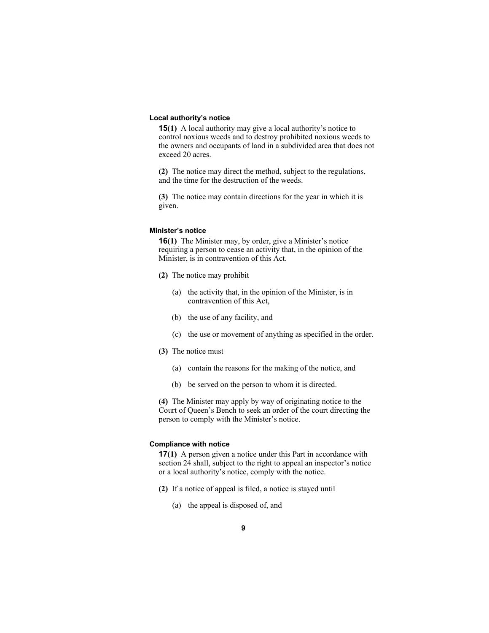#### **Local authority's notice**

**15(1)** A local authority may give a local authority's notice to control noxious weeds and to destroy prohibited noxious weeds to the owners and occupants of land in a subdivided area that does not exceed 20 acres.

**(2)** The notice may direct the method, subject to the regulations, and the time for the destruction of the weeds.

**(3)** The notice may contain directions for the year in which it is given.

#### **Minister's notice**

**16(1)** The Minister may, by order, give a Minister's notice requiring a person to cease an activity that, in the opinion of the Minister, is in contravention of this Act.

- **(2)** The notice may prohibit
	- (a) the activity that, in the opinion of the Minister, is in contravention of this Act,
	- (b) the use of any facility, and
	- (c) the use or movement of anything as specified in the order.
- **(3)** The notice must
	- (a) contain the reasons for the making of the notice, and
	- (b) be served on the person to whom it is directed.

**(4)** The Minister may apply by way of originating notice to the Court of Queen's Bench to seek an order of the court directing the person to comply with the Minister's notice.

#### **Compliance with notice**

**17(1)** A person given a notice under this Part in accordance with section 24 shall, subject to the right to appeal an inspector's notice or a local authority's notice, comply with the notice.

- **(2)** If a notice of appeal is filed, a notice is stayed until
	- (a) the appeal is disposed of, and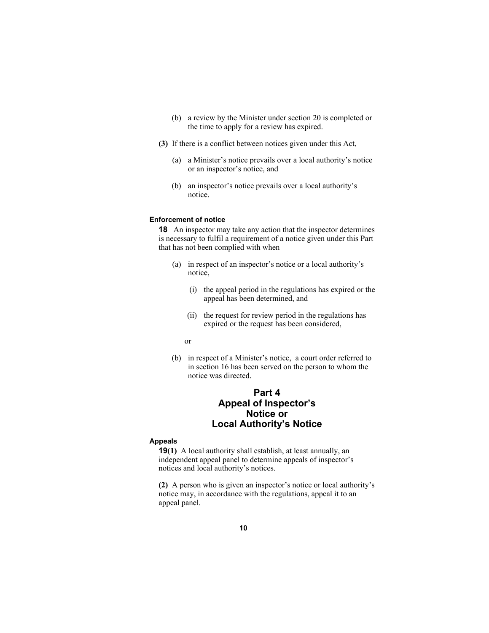- (b) a review by the Minister under section 20 is completed or the time to apply for a review has expired.
- **(3)** If there is a conflict between notices given under this Act,
	- (a) a Minister's notice prevails over a local authority's notice or an inspector's notice, and
	- (b) an inspector's notice prevails over a local authority's notice.

#### **Enforcement of notice**

**18** An inspector may take any action that the inspector determines is necessary to fulfil a requirement of a notice given under this Part that has not been complied with when

- (a) in respect of an inspector's notice or a local authority's notice,
	- (i) the appeal period in the regulations has expired or the appeal has been determined, and
	- (ii) the request for review period in the regulations has expired or the request has been considered,
- or
	- (b) in respect of a Minister's notice, a court order referred to in section 16 has been served on the person to whom the notice was directed.

# **Part 4 Appeal of Inspector's Notice or Local Authority's Notice**

#### **Appeals**

**19(1)** A local authority shall establish, at least annually, an independent appeal panel to determine appeals of inspector's notices and local authority's notices.

**(2)** A person who is given an inspector's notice or local authority's notice may, in accordance with the regulations, appeal it to an appeal panel.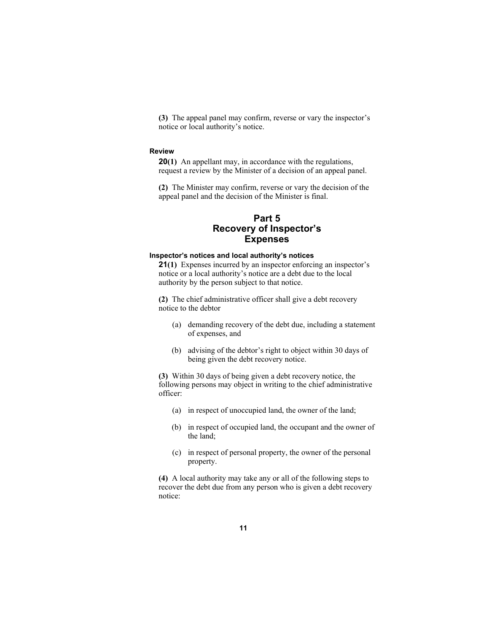**(3)** The appeal panel may confirm, reverse or vary the inspector's notice or local authority's notice.

#### **Review**

**20(1)** An appellant may, in accordance with the regulations, request a review by the Minister of a decision of an appeal panel.

**(2)** The Minister may confirm, reverse or vary the decision of the appeal panel and the decision of the Minister is final.

# **Part 5 Recovery of Inspector's Expenses**

#### **Inspector's notices and local authority's notices**

**21(1)** Expenses incurred by an inspector enforcing an inspector's notice or a local authority's notice are a debt due to the local authority by the person subject to that notice.

**(2)** The chief administrative officer shall give a debt recovery notice to the debtor

- (a) demanding recovery of the debt due, including a statement of expenses, and
- (b) advising of the debtor's right to object within 30 days of being given the debt recovery notice.

**(3)** Within 30 days of being given a debt recovery notice, the following persons may object in writing to the chief administrative officer:

- (a) in respect of unoccupied land, the owner of the land;
- (b) in respect of occupied land, the occupant and the owner of the land;
- (c) in respect of personal property, the owner of the personal property.

**(4)** A local authority may take any or all of the following steps to recover the debt due from any person who is given a debt recovery notice: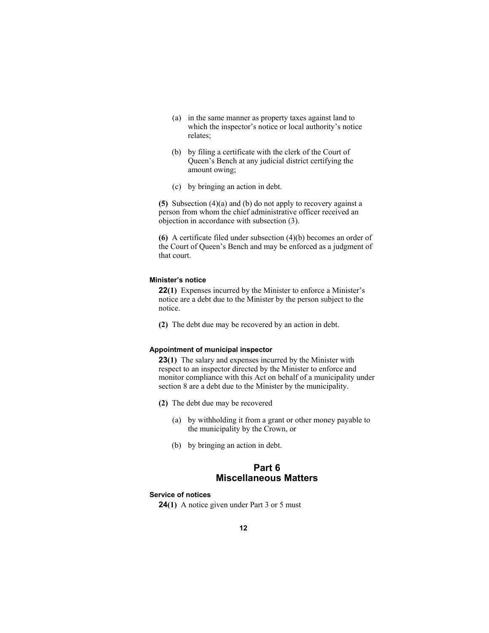- (a) in the same manner as property taxes against land to which the inspector's notice or local authority's notice relates;
- (b) by filing a certificate with the clerk of the Court of Queen's Bench at any judicial district certifying the amount owing;
- (c) by bringing an action in debt.

**(5)** Subsection (4)(a) and (b) do not apply to recovery against a person from whom the chief administrative officer received an objection in accordance with subsection (3).

**(6)** A certificate filed under subsection (4)(b) becomes an order of the Court of Queen's Bench and may be enforced as a judgment of that court.

#### **Minister's notice**

**22(1)** Expenses incurred by the Minister to enforce a Minister's notice are a debt due to the Minister by the person subject to the notice.

**(2)** The debt due may be recovered by an action in debt.

#### **Appointment of municipal inspector**

**23(1)** The salary and expenses incurred by the Minister with respect to an inspector directed by the Minister to enforce and monitor compliance with this Act on behalf of a municipality under section 8 are a debt due to the Minister by the municipality.

- **(2)** The debt due may be recovered
	- (a) by withholding it from a grant or other money payable to the municipality by the Crown, or
	- (b) by bringing an action in debt.

# **Part 6 Miscellaneous Matters**

#### **Service of notices**

**24(1)** A notice given under Part 3 or 5 must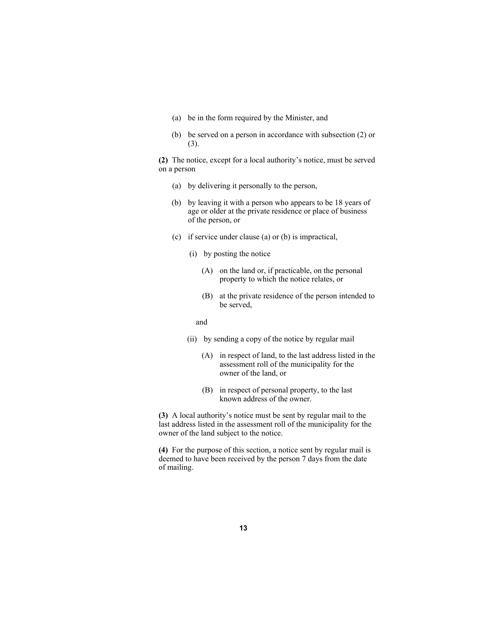- (a) be in the form required by the Minister, and
- (b) be served on a person in accordance with subsection (2) or (3).

**(2)** The notice, except for a local authority's notice, must be served on a person

- (a) by delivering it personally to the person,
- (b) by leaving it with a person who appears to be 18 years of age or older at the private residence or place of business of the person, or
- (c) if service under clause (a) or (b) is impractical,
	- (i) by posting the notice
		- (A) on the land or, if practicable, on the personal property to which the notice relates, or
		- (B) at the private residence of the person intended to be served,

and

- (ii) by sending a copy of the notice by regular mail
	- (A) in respect of land, to the last address listed in the assessment roll of the municipality for the owner of the land, or
	- (B) in respect of personal property, to the last known address of the owner.

**(3)** A local authority's notice must be sent by regular mail to the last address listed in the assessment roll of the municipality for the owner of the land subject to the notice.

**(4)** For the purpose of this section, a notice sent by regular mail is deemed to have been received by the person 7 days from the date of mailing.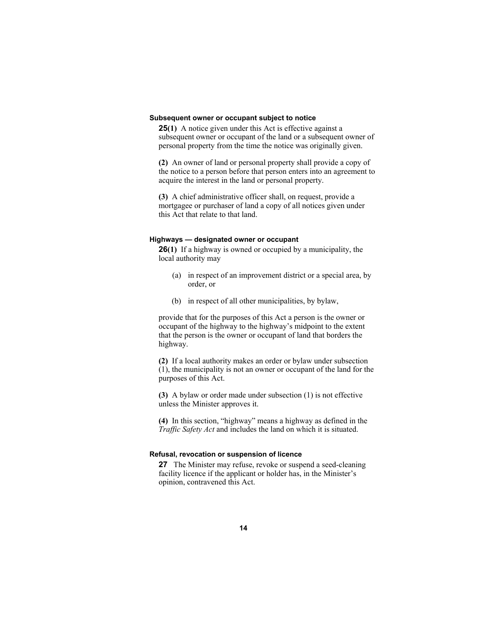#### **Subsequent owner or occupant subject to notice**

**25(1)** A notice given under this Act is effective against a subsequent owner or occupant of the land or a subsequent owner of personal property from the time the notice was originally given.

**(2)** An owner of land or personal property shall provide a copy of the notice to a person before that person enters into an agreement to acquire the interest in the land or personal property.

**(3)** A chief administrative officer shall, on request, provide a mortgagee or purchaser of land a copy of all notices given under this Act that relate to that land.

#### **Highways — designated owner or occupant**

**26(1)** If a highway is owned or occupied by a municipality, the local authority may

- (a) in respect of an improvement district or a special area, by order, or
- (b) in respect of all other municipalities, by bylaw,

provide that for the purposes of this Act a person is the owner or occupant of the highway to the highway's midpoint to the extent that the person is the owner or occupant of land that borders the highway.

**(2)** If a local authority makes an order or bylaw under subsection (1), the municipality is not an owner or occupant of the land for the purposes of this Act.

**(3)** A bylaw or order made under subsection (1) is not effective unless the Minister approves it.

**(4)** In this section, "highway" means a highway as defined in the *Traffic Safety Act* and includes the land on which it is situated.

#### **Refusal, revocation or suspension of licence**

**27** The Minister may refuse, revoke or suspend a seed-cleaning facility licence if the applicant or holder has, in the Minister's opinion, contravened this Act.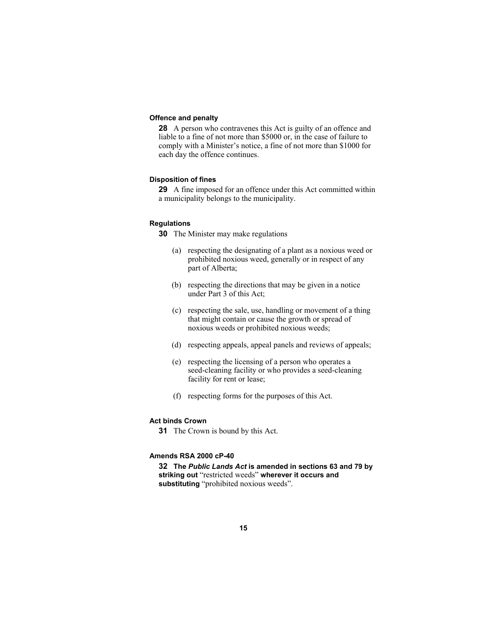#### **Offence and penalty**

**28** A person who contravenes this Act is guilty of an offence and liable to a fine of not more than \$5000 or, in the case of failure to comply with a Minister's notice, a fine of not more than \$1000 for each day the offence continues.

#### **Disposition of fines**

**29** A fine imposed for an offence under this Act committed within a municipality belongs to the municipality.

#### **Regulations**

**30** The Minister may make regulations

- (a) respecting the designating of a plant as a noxious weed or prohibited noxious weed, generally or in respect of any part of Alberta;
- (b) respecting the directions that may be given in a notice under Part 3 of this Act;
- (c) respecting the sale, use, handling or movement of a thing that might contain or cause the growth or spread of noxious weeds or prohibited noxious weeds;
- (d) respecting appeals, appeal panels and reviews of appeals;
- (e) respecting the licensing of a person who operates a seed-cleaning facility or who provides a seed-cleaning facility for rent or lease;
- (f) respecting forms for the purposes of this Act.

#### **Act binds Crown**

**31** The Crown is bound by this Act.

#### **Amends RSA 2000 cP-40**

**32 The** *Public Lands Act* **is amended in sections 63 and 79 by striking out** "restricted weeds" **wherever it occurs and substituting** "prohibited noxious weeds".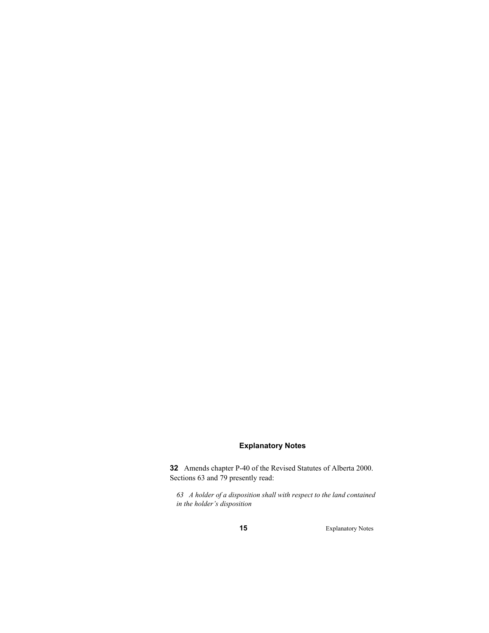### **Explanatory Notes**

**32** Amends chapter P-40 of the Revised Statutes of Alberta 2000. Sections 63 and 79 presently read:

*63 A holder of a disposition shall with respect to the land contained in the holder's disposition* 

**15** Explanatory Notes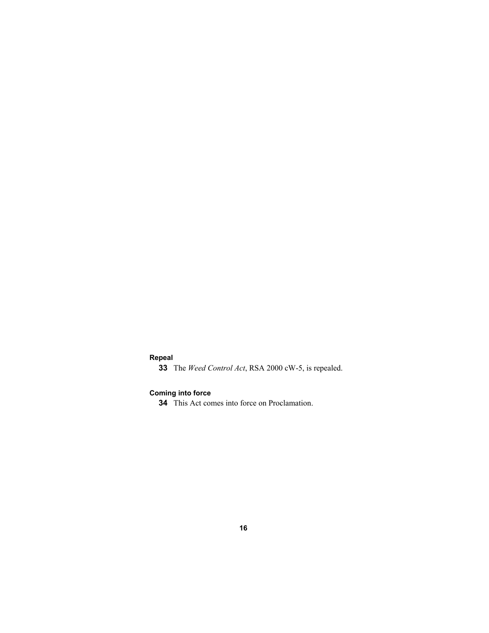### **Repeal**

**33** The *Weed Control Act*, RSA 2000 cW-5, is repealed.

# **Coming into force**

**34** This Act comes into force on Proclamation.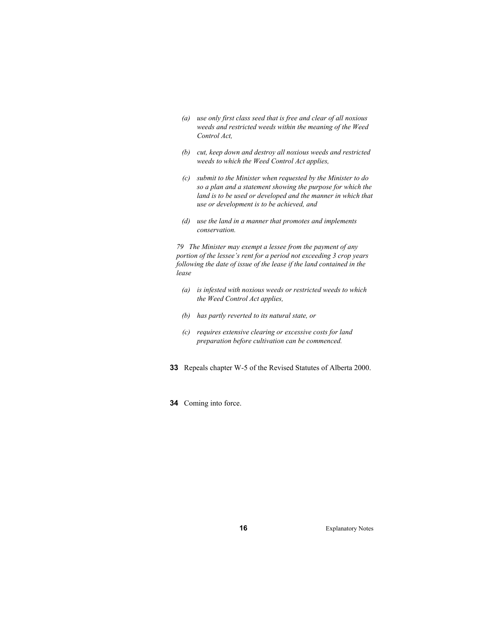- *(a) use only first class seed that is free and clear of all noxious weeds and restricted weeds within the meaning of the Weed Control Act,*
- *(b) cut, keep down and destroy all noxious weeds and restricted weeds to which the Weed Control Act applies,*
- *(c) submit to the Minister when requested by the Minister to do so a plan and a statement showing the purpose for which the*  land is to be used or developed and the manner in which that *use or development is to be achieved, and*
- *(d) use the land in a manner that promotes and implements conservation.*

*79 The Minister may exempt a lessee from the payment of any portion of the lessee's rent for a period not exceeding 3 crop years following the date of issue of the lease if the land contained in the lease* 

- *(a) is infested with noxious weeds or restricted weeds to which the Weed Control Act applies,*
- *(b) has partly reverted to its natural state, or*
- *(c) requires extensive clearing or excessive costs for land preparation before cultivation can be commenced.*
- **33** Repeals chapter W-5 of the Revised Statutes of Alberta 2000.
- **34** Coming into force.

**16** Explanatory Notes